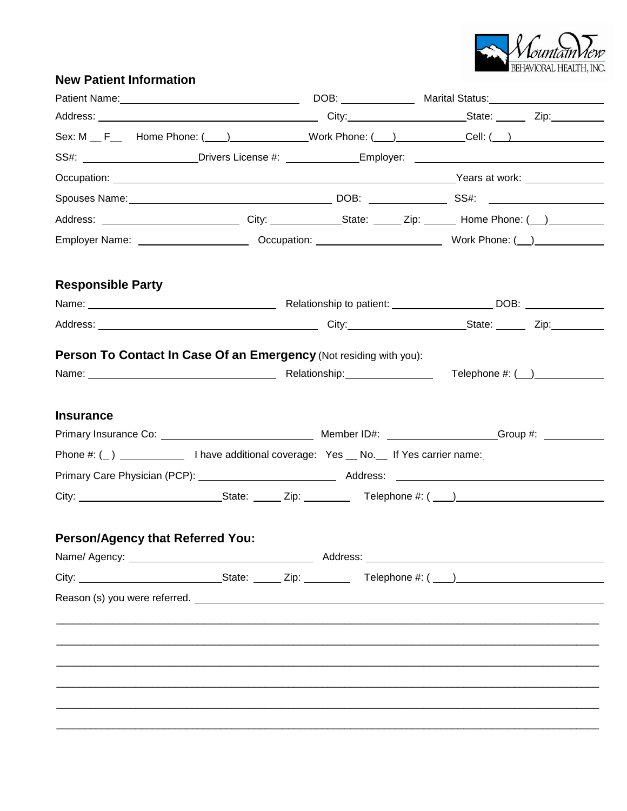

## **New Patient Information**

| Sex: M _ F__ Home Phone: ( ___ ) ____________Work Phone: ( __ ) __________Cell: ( __ ) _____________                                                                                                                           |  |  |                                                                                                                |                                                                       |  |
|--------------------------------------------------------------------------------------------------------------------------------------------------------------------------------------------------------------------------------|--|--|----------------------------------------------------------------------------------------------------------------|-----------------------------------------------------------------------|--|
| SS#: \\cdot\\cdot\\cdot\\cdot\\cdot\\cdot\\cdot\\cdot\\cdot\\cdot\\cdot\\cdot\\cdot\\cdot\\cdot\\cdot\\cdot\\cdot\\cdot\\cdot\\cdot\\cdot\\cdot\\cdot\\cdot\\cdot\\cdot\\cdot\\cdot\\cdot\\cdot\\cdot\\cdot\\cdot\\cdot\\cdot\ |  |  |                                                                                                                |                                                                       |  |
|                                                                                                                                                                                                                                |  |  |                                                                                                                |                                                                       |  |
|                                                                                                                                                                                                                                |  |  |                                                                                                                |                                                                       |  |
| Address: _______________________________City: ______________State: ______ Zip: _______ Home Phone: (__) ___________                                                                                                            |  |  |                                                                                                                |                                                                       |  |
|                                                                                                                                                                                                                                |  |  | Employer Name: ___________________________Occupation: ___________________________ Work Phone: (__)____________ |                                                                       |  |
| <b>Responsible Party</b>                                                                                                                                                                                                       |  |  |                                                                                                                |                                                                       |  |
|                                                                                                                                                                                                                                |  |  |                                                                                                                |                                                                       |  |
|                                                                                                                                                                                                                                |  |  |                                                                                                                |                                                                       |  |
|                                                                                                                                                                                                                                |  |  |                                                                                                                |                                                                       |  |
| Person To Contact In Case Of an Emergency (Not residing with you):                                                                                                                                                             |  |  |                                                                                                                |                                                                       |  |
| <b>Insurance</b>                                                                                                                                                                                                               |  |  |                                                                                                                |                                                                       |  |
|                                                                                                                                                                                                                                |  |  |                                                                                                                |                                                                       |  |
|                                                                                                                                                                                                                                |  |  |                                                                                                                |                                                                       |  |
|                                                                                                                                                                                                                                |  |  |                                                                                                                |                                                                       |  |
|                                                                                                                                                                                                                                |  |  |                                                                                                                |                                                                       |  |
| <b>Person/Agency that Referred You:</b>                                                                                                                                                                                        |  |  |                                                                                                                |                                                                       |  |
|                                                                                                                                                                                                                                |  |  |                                                                                                                | <u> 1980 - Jan Samuel Barbara, margaret eta idazlearia (h. 1982).</u> |  |
|                                                                                                                                                                                                                                |  |  |                                                                                                                |                                                                       |  |
|                                                                                                                                                                                                                                |  |  |                                                                                                                |                                                                       |  |
|                                                                                                                                                                                                                                |  |  |                                                                                                                |                                                                       |  |
|                                                                                                                                                                                                                                |  |  |                                                                                                                |                                                                       |  |
|                                                                                                                                                                                                                                |  |  |                                                                                                                |                                                                       |  |
|                                                                                                                                                                                                                                |  |  |                                                                                                                |                                                                       |  |
|                                                                                                                                                                                                                                |  |  |                                                                                                                |                                                                       |  |
|                                                                                                                                                                                                                                |  |  |                                                                                                                |                                                                       |  |
|                                                                                                                                                                                                                                |  |  |                                                                                                                |                                                                       |  |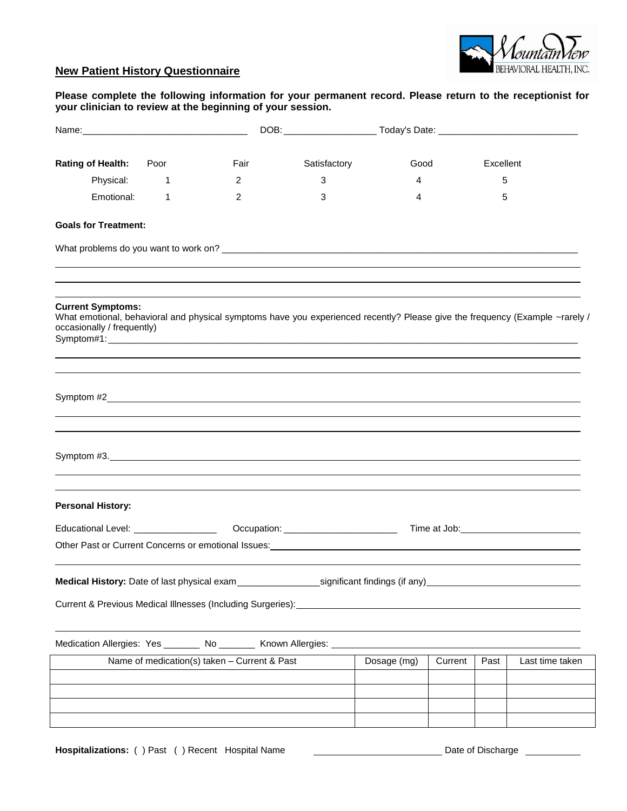

## **New Patient History Questionnaire**

## **Please complete the following information for your permanent record. Please return to the receptionist for your clinician to review at the beginning of your session.**

| Rating of Health: Poor                                                                                                                                                                  |              | Fair                                         | Satisfactory | Good        |         | Excellent |                 |
|-----------------------------------------------------------------------------------------------------------------------------------------------------------------------------------------|--------------|----------------------------------------------|--------------|-------------|---------|-----------|-----------------|
| Physical:                                                                                                                                                                               | $\mathbf{1}$ | 2                                            | 3            | 4           |         | 5         |                 |
| Emotional:                                                                                                                                                                              | 1            | 2                                            | 3            | 4           |         | 5         |                 |
| <b>Goals for Treatment:</b>                                                                                                                                                             |              |                                              |              |             |         |           |                 |
|                                                                                                                                                                                         |              |                                              |              |             |         |           |                 |
| <b>Current Symptoms:</b><br>What emotional, behavioral and physical symptoms have you experienced recently? Please give the frequency (Example ~rarely /<br>occasionally / frequently)  |              |                                              |              |             |         |           |                 |
|                                                                                                                                                                                         |              |                                              |              |             |         |           |                 |
| Symptom #3.                                                                                                                                                                             |              |                                              |              |             |         |           |                 |
| <b>Personal History:</b>                                                                                                                                                                |              |                                              |              |             |         |           |                 |
|                                                                                                                                                                                         |              |                                              |              |             |         |           |                 |
|                                                                                                                                                                                         |              |                                              |              |             |         |           |                 |
| Medical History: Date of last physical exam _________________________significant findings (if any)<br>Current & Previous Medical Illnesses (Including Surgeries): _____________________ |              |                                              |              |             |         |           |                 |
| Medication Allergies: Yes _______ No _______ Known Allergies:                                                                                                                           |              |                                              |              |             |         |           |                 |
|                                                                                                                                                                                         |              | Name of medication(s) taken - Current & Past |              | Dosage (mg) | Current | Past      | Last time taken |
|                                                                                                                                                                                         |              |                                              |              |             |         |           |                 |
|                                                                                                                                                                                         |              |                                              |              |             |         |           |                 |
|                                                                                                                                                                                         |              |                                              |              |             |         |           |                 |
|                                                                                                                                                                                         |              |                                              |              |             |         |           |                 |